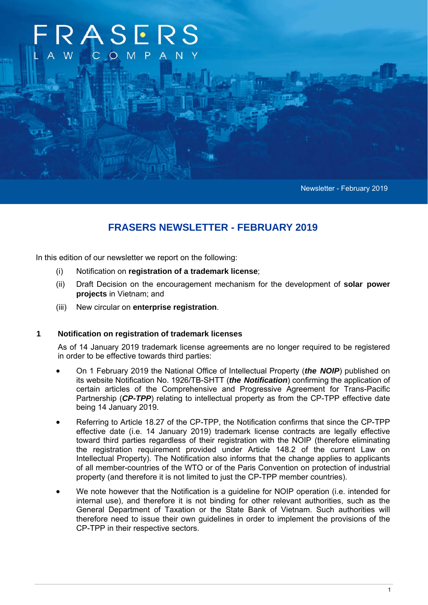# **RASERS** O M

Newsletter - February 2019

# **FRASERS NEWSLETTER - FEBRUARY 2019**

In this edition of our newsletter we report on the following:

- (i) Notification on **registration of a trademark license**;
- (ii) Draft Decision on the encouragement mechanism for the development of **solar power projects** in Vietnam; and
- (iii) New circular on **enterprise registration**.

### **1 Notification on registration of trademark licenses**

As of 14 January 2019 trademark license agreements are no longer required to be registered in order to be effective towards third parties:

- On 1 February 2019 the National Office of Intellectual Property (*the NOIP*) published on its website Notification No. 1926/TB-SHTT (*the Notification*) confirming the application of certain articles of the Comprehensive and Progressive Agreement for Trans-Pacific Partnership (CP-TPP) relating to intellectual property as from the CP-TPP effective date being 14 January 2019.
- Referring to Article 18.27 of the CP-TPP, the Notification confirms that since the CP-TPP effective date (i.e. 14 January 2019) trademark license contracts are legally effective toward third parties regardless of their registration with the NOIP (therefore eliminating the registration requirement provided under Article 148.2 of the current Law on Intellectual Property). The Notification also informs that the change applies to applicants of all member-countries of the WTO or of the Paris Convention on protection of industrial property (and therefore it is not limited to just the CP-TPP member countries).
- We note however that the Notification is a guideline for NOIP operation (i.e. intended for internal use), and therefore it is not binding for other relevant authorities, such as the General Department of Taxation or the State Bank of Vietnam. Such authorities will therefore need to issue their own guidelines in order to implement the provisions of the CP-TPP in their respective sectors.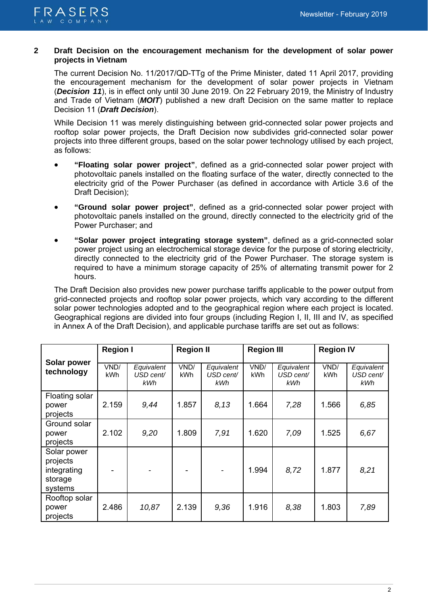

## **2 Draft Decision on the encouragement mechanism for the development of solar power projects in Vietnam**

The current Decision No. 11/2017/QD-TTg of the Prime Minister, dated 11 April 2017, providing the encouragement mechanism for the development of solar power projects in Vietnam (*Decision 11*), is in effect only until 30 June 2019. On 22 February 2019, the Ministry of Industry and Trade of Vietnam (*MOIT*) published a new draft Decision on the same matter to replace Decision 11 (*Draft Decision*).

While Decision 11 was merely distinguishing between grid-connected solar power projects and rooftop solar power projects, the Draft Decision now subdivides grid-connected solar power projects into three different groups, based on the solar power technology utilised by each project, as follows:

- **"Floating solar power project"**, defined as a grid-connected solar power project with photovoltaic panels installed on the floating surface of the water, directly connected to the electricity grid of the Power Purchaser (as defined in accordance with Article 3.6 of the Draft Decision);
- **"Ground solar power project"**, defined as a grid-connected solar power project with photovoltaic panels installed on the ground, directly connected to the electricity grid of the Power Purchaser; and
- **"Solar power project integrating storage system"**, defined as a grid-connected solar power project using an electrochemical storage device for the purpose of storing electricity, directly connected to the electricity grid of the Power Purchaser. The storage system is required to have a minimum storage capacity of 25% of alternating transmit power for 2 hours.

The Draft Decision also provides new power purchase tariffs applicable to the power output from grid-connected projects and rooftop solar power projects, which vary according to the different solar power technologies adopted and to the geographical region where each project is located. Geographical regions are divided into four groups (including Region I, II, III and IV, as specified in Annex A of the Draft Decision), and applicable purchase tariffs are set out as follows:

|                                                              | <b>Region I</b> |                                | <b>Region II</b> |                                | <b>Region III</b>  |                                | <b>Region IV</b>   |                                |
|--------------------------------------------------------------|-----------------|--------------------------------|------------------|--------------------------------|--------------------|--------------------------------|--------------------|--------------------------------|
| Solar power<br>technology                                    | VND/<br>kWh     | Equivalent<br>USD cent/<br>kWh | VND/<br>kWh      | Equivalent<br>USD cent/<br>kWh | VNĐ/<br><b>kWh</b> | Equivalent<br>USD cent/<br>kWh | VND/<br><b>kWh</b> | Equivalent<br>USD cent/<br>kWh |
| Floating solar<br>power<br>projects                          | 2.159           | 9,44                           | 1.857            | 8,13                           | 1.664              | 7,28                           | 1.566              | 6,85                           |
| Ground solar<br>power<br>projects                            | 2.102           | 9,20                           | 1.809            | 7,91                           | 1.620              | 7,09                           | 1.525              | 6,67                           |
| Solar power<br>projects<br>integrating<br>storage<br>systems |                 |                                |                  |                                | 1.994              | 8,72                           | 1.877              | 8,21                           |
| Rooftop solar<br>power<br>projects                           | 2.486           | 10,87                          | 2.139            | 9,36                           | 1.916              | 8,38                           | 1.803              | 7,89                           |